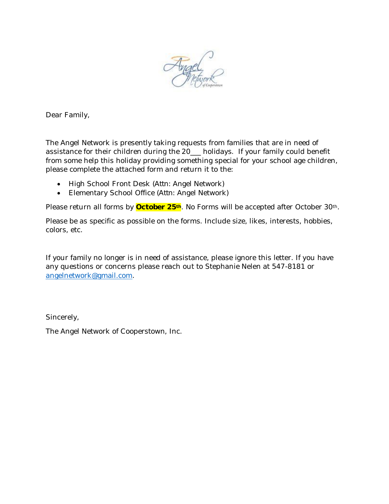

Dear Family,

The Angel Network is presently taking requests from families that are in need of assistance for their children during the 20\_\_\_ holidays. If your family could benefit from some help this holiday providing something special for your school age children, please complete the attached form and return it to the:

- High School Front Desk (*Attn:* Angel Network)
- Elementary School Office (*Attn:* Angel Network)

Please return all forms by **October 25th**. No Forms will be accepted after October 30th.

Please be as specific as possible on the forms. Include size, likes, interests, hobbies, colors, etc.

If your family no longer is in need of assistance, please ignore this letter. If you have any questions or concerns please reach out to Stephanie Nelen at 547-8181 or angelnetwork@gmail.com.

Sincerely,

The Angel Network of Cooperstown, Inc.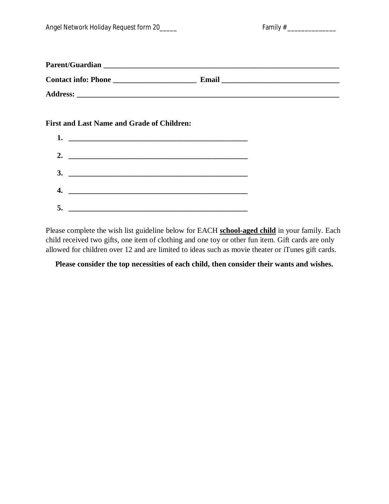| Angel Network Holiday Request form 20 | Family# |
|---------------------------------------|---------|
|---------------------------------------|---------|

| amıly |  |
|-------|--|
|-------|--|

| <b>Parent/Guardian</b>     |       |
|----------------------------|-------|
| <b>Contact info: Phone</b> | Email |
| <b>Address:</b>            |       |

## **First and Last Name and Grade of Children:**

| 1. $\qquad \qquad$ |  |
|--------------------|--|
| 2. $\qquad \qquad$ |  |
|                    |  |
|                    |  |
| 5.                 |  |

Please complete the wish list guideline below for EACH **school-aged child** in your family. Each child received two gifts, one item of clothing and one toy or other fun item. Gift cards are only allowed for children over 12 and are limited to ideas such as movie theater or iTunes gift cards.

## **Please consider the top necessities of each child, then consider their wants and wishes.**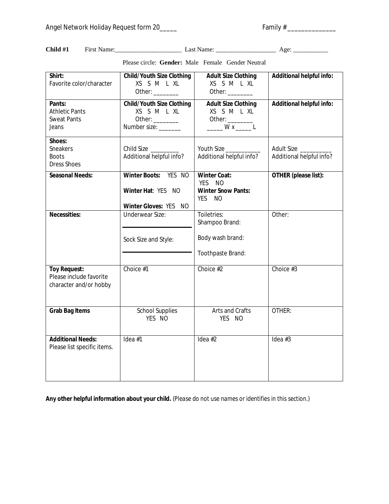**Child #1** First Name:\_\_\_\_\_\_\_\_\_\_\_\_\_\_\_\_\_\_\_\_\_ Last Name: \_\_\_\_\_\_\_\_\_\_\_\_\_\_\_\_\_\_\_ Age: \_\_\_\_\_\_\_\_\_\_\_

**Shirt:** Favorite color/character **Child/Youth Size Clothing** XS S M L XL Other: \_\_\_\_\_\_\_\_\_ **Adult Size Clothing** XS S M L XL Other: \_\_\_\_\_\_\_\_ **Additional helpful info: Pants:** Athletic Pants Sweat Pants Jeans **Child/Youth Size Clothing** XS S M L XL Other: \_\_\_\_\_\_\_\_\_ Number size: \_\_\_\_\_\_\_ **Adult Size Clothing** XS S M L XL Other: \_\_\_\_\_ W x \_\_\_\_\_ L **Additional helpful info: Shoes:** Sneakers Boots Dress Shoes Child Size \_\_\_\_\_\_\_\_\_ Additional helpful info? Youth Size Additional helpful info? Adult Size Additional helpful info? **Seasonal Needs: Winter Boots:** YES NO **Winter Hat**: YES NO **Winter Gloves:** YES NO **Winter Coat:**  YES NO **Winter Snow Pants:** YES NO **OTHER (please list): Necessities:** Underwear Size: Sock Size and Style: Toiletries: Shampoo Brand: Body wash brand: Toothpaste Brand: Other: **Toy Request:**  Please include favorite character and/or hobby Choice #1 Choice #2 Choice #3 **Grab Bag Items School Supplies** YES NO Arts and Crafts YES NO OTHER: **Additional Needs:** Please list specific items.  $\text{Idea #1}$   $\text{Idea #2}$   $\text{Idea #3}$ 

Please circle: **Gender:** Male Female Gender Neutral

**Any other helpful information about your child.** (*Please do not use names or identifies in this section.*)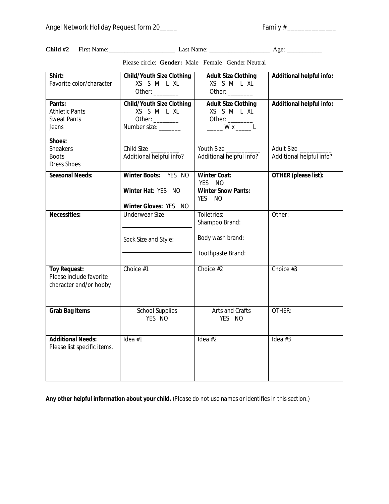**Child #2** First Name:\_\_\_\_\_\_\_\_\_\_\_\_\_\_\_\_\_\_\_\_\_ Last Name: \_\_\_\_\_\_\_\_\_\_\_\_\_\_\_\_\_\_\_ Age: \_\_\_\_\_\_\_\_\_\_\_

**Additional Needs:** Please list specific items.

| Shirt:<br>Favorite color/character                                       | <b>Child/Youth Size Clothing</b><br>XS S M L XL<br>Other: $\frac{1}{\frac{1}{2}}$        | <b>Adult Size Clothing</b><br>XS S M L XL<br>Other: $\_\_\_\_\_\_\_\_\_\_\_$                                   | <b>Additional helpful info:</b>        |
|--------------------------------------------------------------------------|------------------------------------------------------------------------------------------|----------------------------------------------------------------------------------------------------------------|----------------------------------------|
| Pants:<br><b>Athletic Pants</b><br><b>Sweat Pants</b><br>Jeans           | <b>Child/Youth Size Clothing</b><br>XS S M L XL<br>Other: $\_\_$<br>Number size: _______ | <b>Adult Size Clothing</b><br>XS S M L XL<br>Other: $\_\_\_\_\_\_\_\_\_\$<br>$\frac{1}{1}$ W x $\frac{1}{1}$ L | <b>Additional helpful info:</b>        |
| Shoes:<br>Sneakers<br><b>Boots</b><br><b>Dress Shoes</b>                 | Child Size<br>Additional helpful info?                                                   | Youth Size<br>Additional helpful info?                                                                         | Adult Size<br>Additional helpful info? |
| <b>Seasonal Needs:</b>                                                   | Winter Boots: YES NO<br>Winter Hat: YES NO<br><b>Winter Gloves: YES</b><br>NO.           | <b>Winter Coat:</b><br>YFS.<br>- NO<br><b>Winter Snow Pants:</b><br><b>YES</b><br><b>NO</b>                    | <b>OTHER</b> (please list):            |
| <b>Necessities:</b>                                                      | <b>Underwear Size:</b><br>Sock Size and Style:                                           | Toiletries:<br>Shampoo Brand:<br>Body wash brand:<br>Toothpaste Brand:                                         | Other:                                 |
| <b>Toy Request:</b><br>Please include favorite<br>character and/or hobby | Choice #1                                                                                | Choice #2                                                                                                      | Choice #3                              |
| <b>Grab Bag Items</b>                                                    | <b>School Supplies</b><br>YES NO                                                         | Arts and Crafts<br>YES NO                                                                                      | OTHER:                                 |

Please circle: **Gender:** Male Female Gender Neutral

**Any other helpful information about your child.** (*Please do not use names or identifies in this section.*)

 $\text{Idea #1}$   $\text{Idea #2}$   $\text{Idea #3}$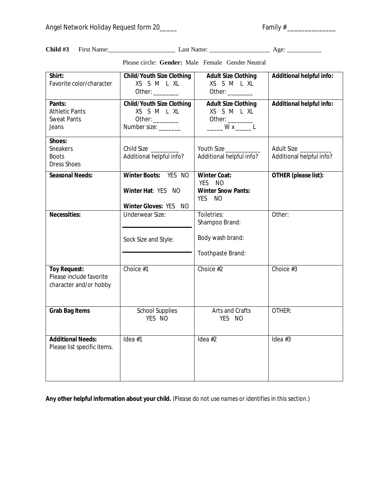**Child #3** First Name:\_\_\_\_\_\_\_\_\_\_\_\_\_\_\_\_\_\_\_\_\_ Last Name: \_\_\_\_\_\_\_\_\_\_\_\_\_\_\_\_\_\_\_ Age: \_\_\_\_\_\_\_\_\_\_\_

| Shirt:<br>Favorite color/character                                       | <b>Child/Youth Size Clothing</b><br>XS S M L XL<br>Other: $\frac{1}{2}$                  | <b>Adult Size Clothing</b><br>XS S M L XL<br>Other: _________                                   | <b>Additional helpful info:</b>        |
|--------------------------------------------------------------------------|------------------------------------------------------------------------------------------|-------------------------------------------------------------------------------------------------|----------------------------------------|
| Pants:<br><b>Athletic Pants</b><br><b>Sweat Pants</b><br>Jeans           | <b>Child/Youth Size Clothing</b><br>XS S M L XL<br>Other: $\_\_$<br>Number size: _______ | <b>Adult Size Clothing</b><br>XS S M L XL<br>Other: $\_\_$<br>$\frac{1}{1}$ W x $\frac{1}{1}$ L | <b>Additional helpful info:</b>        |
| Shoes:<br><b>Sneakers</b><br><b>Boots</b><br><b>Dress Shoes</b>          | Child Size<br>Additional helpful info?                                                   | Youth Size<br>Additional helpful info?                                                          | Adult Size<br>Additional helpful info? |
| <b>Seasonal Needs:</b>                                                   | Winter Boots: YES NO<br>Winter Hat: YES NO<br>Winter Gloves: YES NO                      | <b>Winter Coat:</b><br><b>YES</b><br><b>NO</b><br><b>Winter Snow Pants:</b><br><b>NO</b><br>YES | <b>OTHER</b> (please list):            |
| <b>Necessities:</b>                                                      | <b>Underwear Size:</b><br>Sock Size and Style:                                           | Toiletries:<br>Shampoo Brand:<br>Body wash brand:<br>Toothpaste Brand:                          | Other:                                 |
| <b>Toy Request:</b><br>Please include favorite<br>character and/or hobby | Choice #1                                                                                | Choice #2                                                                                       | Choice #3                              |
| <b>Grab Bag Items</b>                                                    | <b>School Supplies</b><br>YES NO                                                         | Arts and Crafts<br>YES NO                                                                       | OTHER:                                 |
| <b>Additional Needs:</b><br>Please list specific items.                  | Idea $#1$                                                                                | Idea $#2$                                                                                       | Idea $#3$                              |

Please circle: **Gender:** Male Female Gender Neutral

**Any other helpful information about your child.** (*Please do not use names or identifies in this section.*)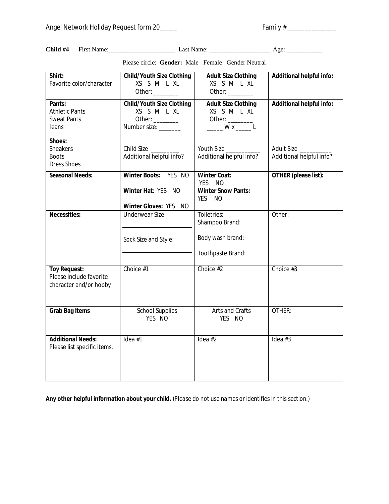**Child #4** First Name:\_\_\_\_\_\_\_\_\_\_\_\_\_\_\_\_\_\_\_\_\_ Last Name: \_\_\_\_\_\_\_\_\_\_\_\_\_\_\_\_\_\_\_ Age: \_\_\_\_\_\_\_\_\_\_\_

character and/or hobby

**Additional Needs:** Please list specific items.

**Grab Bag Items** School Supplies

| Shirt:<br>Favorite color/character                              | <b>Child/Youth Size Clothing</b><br>XS S M L XL<br>Other: $\frac{1}{\sqrt{1-\frac{1}{2}}\cdot\frac{1}{2}}$ | <b>Adult Size Clothing</b><br>XS S M L XL<br>Other: $\frac{1}{\sqrt{1-\frac{1}{2}}\cdot\frac{1}{2}}$                                      | <b>Additional helpful info:</b>                   |
|-----------------------------------------------------------------|------------------------------------------------------------------------------------------------------------|-------------------------------------------------------------------------------------------------------------------------------------------|---------------------------------------------------|
| Pants:<br><b>Athletic Pants</b><br><b>Sweat Pants</b><br>Jeans  | <b>Child/Youth Size Clothing</b><br>XS S M L XL<br>Other: $\frac{1}{2}$<br>Number size:                    | <b>Adult Size Clothing</b><br>XS S M L XL<br>Other: $\frac{1}{\sqrt{1-\frac{1}{2}}\cdot\frac{1}{2}}$<br>$\frac{1}{1}$ W x $\frac{1}{1}$ L | <b>Additional helpful info:</b>                   |
| Shoes:<br><b>Sneakers</b><br><b>Boots</b><br><b>Dress Shoes</b> | Child Size<br>Additional helpful info?                                                                     | Youth Size<br>Additional helpful info?                                                                                                    | Adult Size __________<br>Additional helpful info? |
| <b>Seasonal Needs:</b>                                          | Winter Boots: YES NO<br>Winter Hat: YES NO<br>Winter Gloves: YES NO                                        | <b>Winter Coat:</b><br>YES NO<br><b>Winter Snow Pants:</b><br>YES NO                                                                      | OTHER (please list):                              |
| <b>Necessities:</b>                                             | Underwear Size:<br>Sock Size and Style:                                                                    | Toiletries:<br>Shampoo Brand:<br>Body wash brand:<br>Toothpaste Brand:                                                                    | Other:                                            |
| <b>Toy Request:</b><br>Please include favorite                  | Choice #1                                                                                                  | Choice #2                                                                                                                                 | Choice #3                                         |

Arts and Crafts YES NO

 $\lceil \text{dea #1} \rceil$   $\lceil \text{dea #2} \rceil$   $\lceil \text{dea #3} \rceil$ 

OTHER:

Please circle: **Gender:** Male Female Gender Neutral

**Any other helpful information about your child.** (*Please do not use names or identifies in this section.*)

YES NO